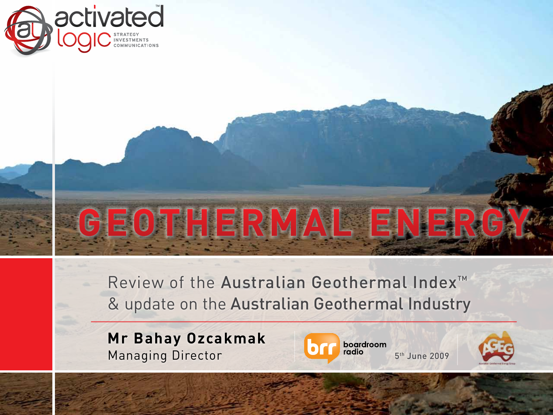

Review of the Australian Geothermal Index<sup>™</sup> & update on the Australian Geothermal Industry

**GEOTHERMAL ENERGY**

**Mr Bahay Ozcakmak** Managing Director **1988** Managing Director



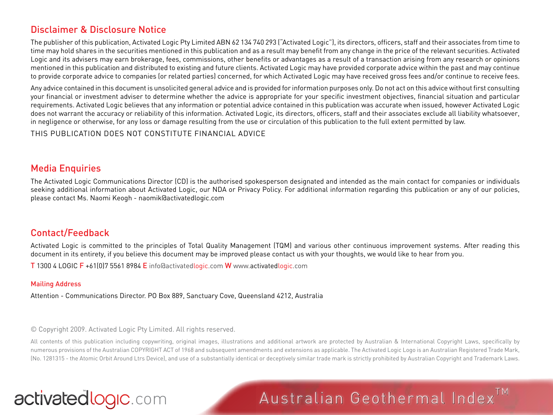#### Disclaimer & Disclosure Notice

The publisher of this publication, Activated Logic Pty Limited ABN 62 134 740 293 ("Activated Logic"), its directors, officers, staff and their associates from time to time may hold shares in the securities mentioned in this publication and as a result may benefit from any change in the price of the relevant securities. Activated Logic and its advisers may earn brokerage, fees, commissions, other benefits or advantages as a result of a transaction arising from any research or opinions mentioned in this publication and distributed to existing and future clients. Activated Logic may have provided corporate advice within the past and may continue to provide corporate advice to companies (or related parties) concerned, for which Activated Logic may have received gross fees and/or continue to receive fees.

Any advice contained in this document is unsolicited general advice and is provided for information purposes only. Do not act on this advice without first consulting your financial or investment adviser to determine whether the advice is appropriate for your specific investment objectives, financial situation and particular requirements. Activated Logic believes that any information or potential advice contained in this publication was accurate when issued, however Activated Logic does not warrant the accuracy or reliability of this information. Activated Logic, its directors, officers, staff and their associates exclude all liability whatsoever, in negligence or otherwise, for any loss or damage resulting from the use or circulation of this publication to the full extent permitted by law.

THIS PUBLICATION DOES NOT CONSTITUTE FINANCIAL ADVICE

#### Media Enquiries

The Activated Logic Communications Director (CD) is the authorised spokesperson designated and intended as the main contact for companies or individuals seeking additional information about Activated Logic, our NDA or Privacy Policy. For additional information regarding this publication or any of our policies, please contact Ms. Naomi Keogh - naomik@activatedlogic.com

#### Contact/Feedback

Activated Logic is committed to the principles of Total Quality Management (TQM) and various other continuous improvement systems. After reading this document in its entirety, if you believe this document may be improved please contact us with your thoughts, we would like to hear from you.

T 1300 4 LOGIC F +61(0)7 5561 8984 E info@activatedlogic.com W www.activatedlogic.com

#### Mailing Address

Attention - Communications Director. PO Box 889, Sanctuary Cove, Queensland 4212, Australia

© Copyright 2009. Activated Logic Pty Limited. All rights reserved.

All contents of this publication including copywriting, original images, illustrations and additional artwork are protected by Australian & International Copyright Laws, specifically by numerous provisions of the Australian COPYRIGHT ACT of 1968 and subsequent amendments and extensions as applicable. The Activated Logic Logo is an Australian Registered Trade Mark, (No. 1281315 - the Atomic Orbit Around Ltrs Device), and use of a substantially identical or deceptively similar trade mark is strictly prohibited by Australian Copyright and Trademark Laws.

### activatedlogic.com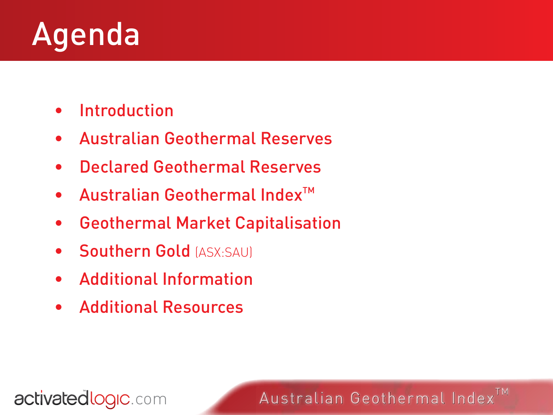## Agenda

- • Introduction
- • Australian Geothermal Reserves
- • Declared Geothermal Reserves
- $\bullet$  Australian Geothermal Index<sup>TM</sup>
- • Geothermal Market Capitalisation
- **Southern Gold (ASX:SAU)**
- Additional Information
- • Additional Resources

activatedlogic.com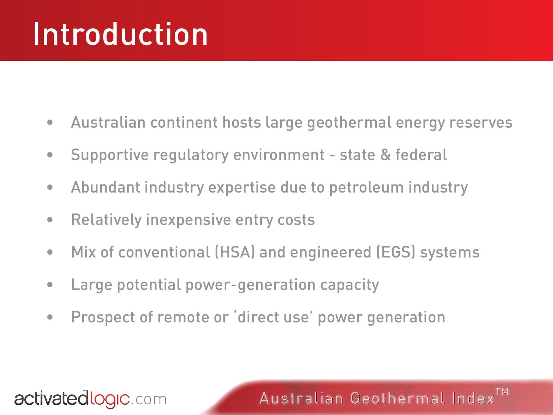## Introduction

- Australian continent hosts large geothermal energy reserves
- Supportive regulatory environment state & federal
- Abundant industry expertise due to petroleum industry
- Relatively inexpensive entry costs
- Mix of conventional (HSA) and engineered (EGS) systems
- Large potential power-generation capacity
- Prospect of remote or 'direct use' power generation

#### activatedlogic.com

Australian Geothermal Index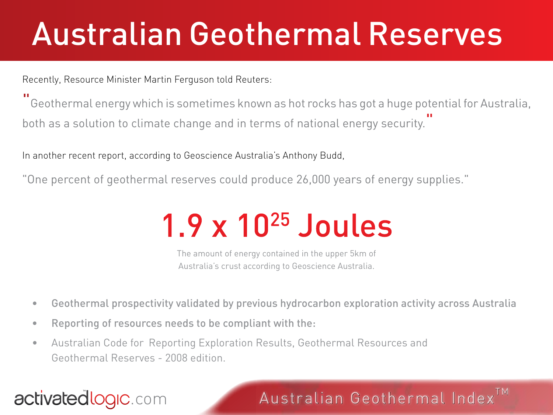## Australian Geothermal Reserves

Recently, Resource Minister Martin Ferguson told Reuters:

" Geothermal energy which is sometimes known as hot rocks has got a huge potential for Australia, both as a solution to climate change and in terms of national energy security. "

In another recent report, according to Geoscience Australia's Anthony Budd,

"One percent of geothermal reserves could produce 26,000 years of energy supplies."

## 1.9 x 1025 Joules

The amount of energy contained in the upper 5km of Australia's crust according to Geoscience Australia.

- • Geothermal prospectivity validated by previous hydrocarbon exploration activity across Australia
- • Reporting of resources needs to be compliant with the:
- • Australian Code for Reporting Exploration Results, Geothermal Resources and Geothermal Reserves - 2008 edition.

## activatedlogic.com

### Australian Geothermal Index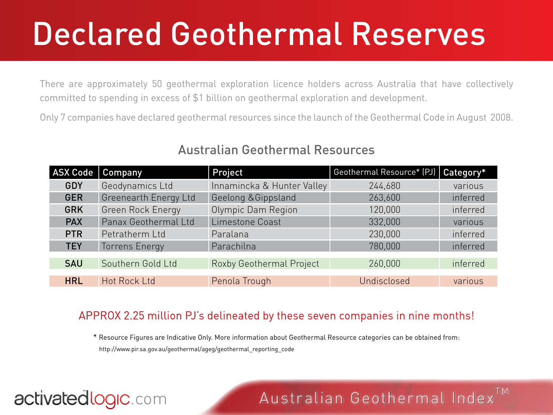## Declared Geothermal Reserves

There are approximately 50 geothermal exploration licence holders across Australia that have collectively committed to spending in excess of \$1 billion on geothermal exploration and development.

Only 7 companies have declared geothermal resources since the launch of the Geothermal Code in August 2008.

| <b>ASX Code</b> | Company               | Project                    | Geothermal Resource* (PJ)   Category* |          |
|-----------------|-----------------------|----------------------------|---------------------------------------|----------|
| <b>GDY</b>      | Geodynamics Ltd       | Innamincka & Hunter Valley | 244,680                               | various  |
| <b>GER</b>      | Greenearth Energy Ltd | Geelong & Gippsland        | 263,600                               | inferred |
| <b>GRK</b>      | Green Rock Energy     | Olympic Dam Region         | 120,000                               | inferred |
| <b>PAX</b>      | Panax Geothermal Ltd  | Limestone Coast            | 332,000                               | various  |
| <b>PTR</b>      | Petratherm Ltd        | Paralana                   | 230,000                               | inferred |
| <b>TEY</b>      | <b>Torrens Energy</b> | Parachilna                 | 780,000                               | inferred |
| <b>SAU</b>      | Southern Gold Ltd     | Roxby Geothermal Project   | 260,000                               | inferred |
| <b>HRL</b>      | <b>Hot Rock Ltd</b>   | Penola Trough              | Undisclosed                           | various  |

#### Australian Geothermal Resources

#### APPROX 2.25 million PJ's delineated by these seven companies in nine months!

\* Resource Figures are Indicative Only. More information about Geothermal Resource categories can be obtained from: http://www.pir.sa.gov.au/geothermal/ageg/geothermal\_reporting\_code

### activatedlogic.com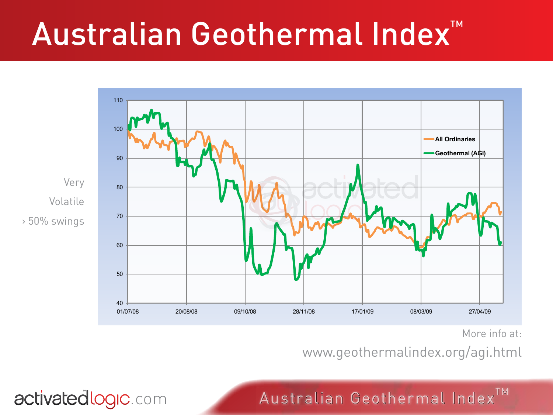## Australian Geothermal Index<sup>™</sup>



activatedlogic.com

More info at:

www.geothermalindex.org/agi.html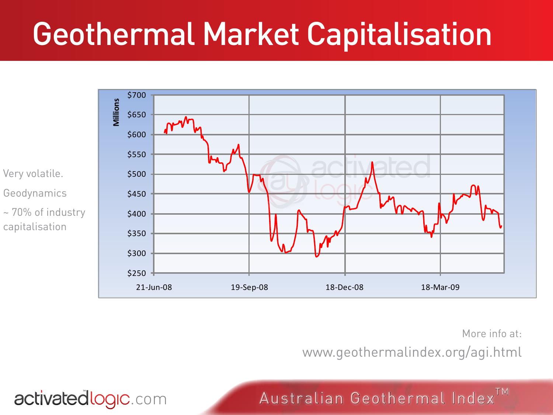## Geothermal Market Capitalisation



activatedlogic.com

More info at:

www.geothermalindex.org/agi.html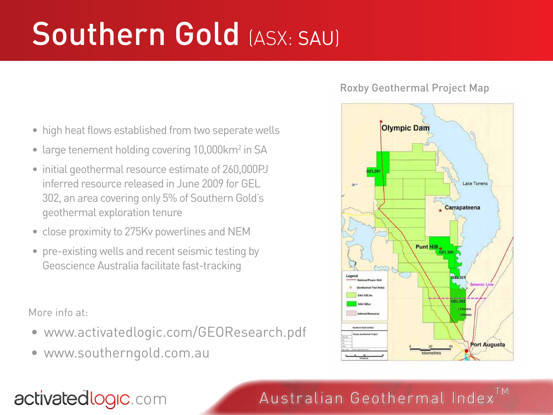# Southern Gold (ASX: SAU)

- high heat flows established from two seperate wells
- large tenement holding covering 10,000km<sup>2</sup> in SA
- initial geothermal resource estimate of 260,000PJ inferred resource released in June 2009 for GEL 302, an area covering only 5% of Southern Gold's geothermal exploration tenure
- close proximity to 275Kv powerlines and NEM
- pre-existing wells and recent seismic testing by Geoscience Australia facilitate fast-tracking

More info at:

- www.activatedlogic.com/GEOResearch.pdf
- www.southerngold.com.au

#### Roxby Geothermal Project Map



## Australian Geothermal Index<sup>TM</sup>

### activatedlogic.com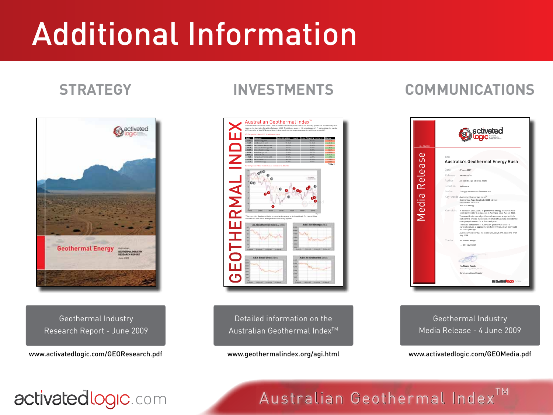# Additional Information

#### **STRATEGY INVESTMENTS COMMUNICATIONS**



Geothermal Industry Research Report - June 2009

www.activatedlogic.com/GEOResearch.pdf



Detailed information on the Australian Geothermal Index<sup>™</sup>

www.geothermalindex.org/agi.html



Geothermal Industry Media Release - 4 June 2009

#### www.activatedlogic.com/GEOMedia.pdf

Australian Geothermal Index<sup>TM</sup>

## activatedlogic.com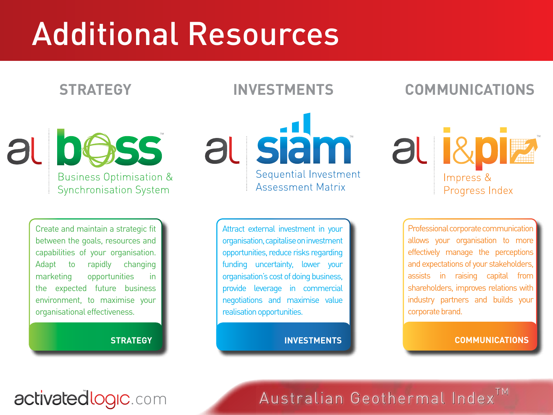## Additional Resources

al bess **Business Optimisation & Synchronisation System** 

> Create and maintain a strategic fit between the goals, resources and capabilities of your organisation. Adapt to rapidly changing marketing opportunities in the expected future business environment, to maximise your organisational effectiveness.

#### **STRATEGY**

au siam Sequential Investment **Assessment Matrix** 

> Attract external investment in your organisation, capitalise on investment opportunities, reduce risks regarding funding uncertainty, lower your organisation's cost of doing business, provide leverage in commercial negotiations and maximise value realisation opportunities.

> > **INVESTMENTS**

**STRATEGY INVESTMENTS COMMUNICATIONS**

al Rota Impress & Progress Index

> Professional corporate communication allows your organisation to more effectively manage the perceptions and expectations of your stakeholders, assists in raising capital from shareholders, improves relations with industry partners and builds your corporate brand.

> > **COMMUNICATIONS**

### activatedlogic.com